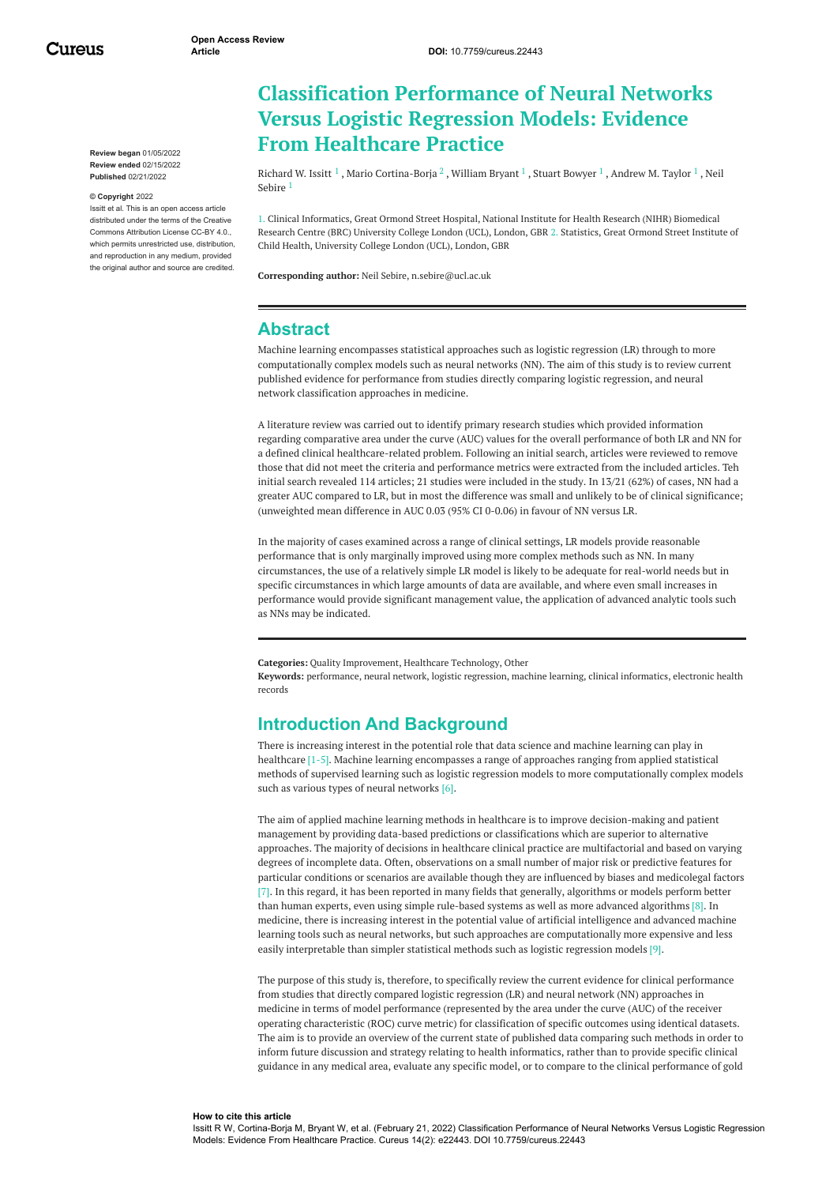Cureus

**Review began** 01/05/2022 **Review ended** 02/15/2022 **Published** 02/21/2022

#### **© Copyright** 2022

Issitt et al. This is an open access article distributed under the terms of the Creative Commons Attribution License CC-BY 4.0., which permits unrestricted use, distribution and reproduction in any medium, provided the original author and source are credited.

# **Classification Performance of Neural Networks Versus Logistic Regression Models: Evidence From Healthcare Practice**

[Richard](https://www.cureus.com/users/296678-richard-w-issitt) W. Issitt  $^1$  , Mario [Cortina-Borja](https://www.cureus.com/users/296679-mario-cortina-borja)  $^2$  , [William](https://www.cureus.com/users/296680-william-bryant) Bryant  $^1$  , Stuart [Bowyer](https://www.cureus.com/users/296683-stuart-a-bowyer)  $^1$  , [Andrew](https://www.cureus.com/users/296684-andrew-m-taylor) M. Taylor  $^1$  , Neil Sebire 1

1. Clinical Informatics, Great Ormond Street Hospital, National Institute for Health Research (NIHR) Biomedical Research Centre (BRC) University College London (UCL), London, GBR 2. Statistics, Great Ormond Street Institute of Child Health, University College London (UCL), London, GBR

**Corresponding author:** Neil Sebire, n.sebire@ucl.ac.uk

### **Abstract**

Machine learning encompasses statistical approaches such as logistic regression (LR) through to more computationally complex models such as neural networks (NN). The aim of this study is to review current published evidence for performance from studies directly comparing logistic regression, and neural network classification approaches in medicine.

A literature review was carried out to identify primary research studies which provided information regarding comparative area under the curve (AUC) values for the overall performance of both LR and NN for a defined clinical healthcare-related problem. Following an initial search, articles were reviewed to remove those that did not meet the criteria and performance metrics were extracted from the included articles. Teh initial search revealed 114 articles; 21 studies were included in the study. In 13/21 (62%) of cases, NN had a greater AUC compared to LR, but in most the difference was small and unlikely to be of clinical significance; (unweighted mean difference in AUC 0.03 (95% CI 0-0.06) in favour of NN versus LR.

In the majority of cases examined across a range of clinical settings, LR models provide reasonable performance that is only marginally improved using more complex methods such as NN. In many circumstances, the use of a relatively simple LR model is likely to be adequate for real-world needs but in specific circumstances in which large amounts of data are available, and where even small increases in performance would provide significant management value, the application of advanced analytic tools such as NNs may be indicated.

**Categories:** Quality Improvement, Healthcare Technology, Other

**Keywords:** performance, neural network, logistic regression, machine learning, clinical informatics, electronic health records

### **Introduction And Background**

There is increasing interest in the potential role that data science and machine learning can play in healthcare [1-5]. Machine learning encompasses a range of approaches ranging from applied statistical methods of supervised learning such as logistic regression models to more computationally complex models such as various types of neural networks [6].

The aim of applied machine learning methods in healthcare is to improve decision-making and patient management by providing data-based predictions or classifications which are superior to alternative approaches. The majority of decisions in healthcare clinical practice are multifactorial and based on varying degrees of incomplete data. Often, observations on a small number of major risk or predictive features for particular conditions or scenarios are available though they are influenced by biases and medicolegal factors [7]. In this regard, it has been reported in many fields that generally, algorithms or models perform better than human experts, even using simple rule-based systems as well as more advanced algorithms [8]. In medicine, there is increasing interest in the potential value of artificial intelligence and advanced machine learning tools such as neural networks, but such approaches are computationally more expensive and less easily interpretable than simpler statistical methods such as logistic regression models [9].

The purpose of this study is, therefore, to specifically review the current evidence for clinical performance from studies that directly compared logistic regression (LR) and neural network (NN) approaches in medicine in terms of model performance (represented by the area under the curve (AUC) of the receiver operating characteristic (ROC) curve metric) for classification of specific outcomes using identical datasets. The aim is to provide an overview of the current state of published data comparing such methods in order to inform future discussion and strategy relating to health informatics, rather than to provide specific clinical guidance in any medical area, evaluate any specific model, or to compare to the clinical performance of gold

#### **How to cite this article**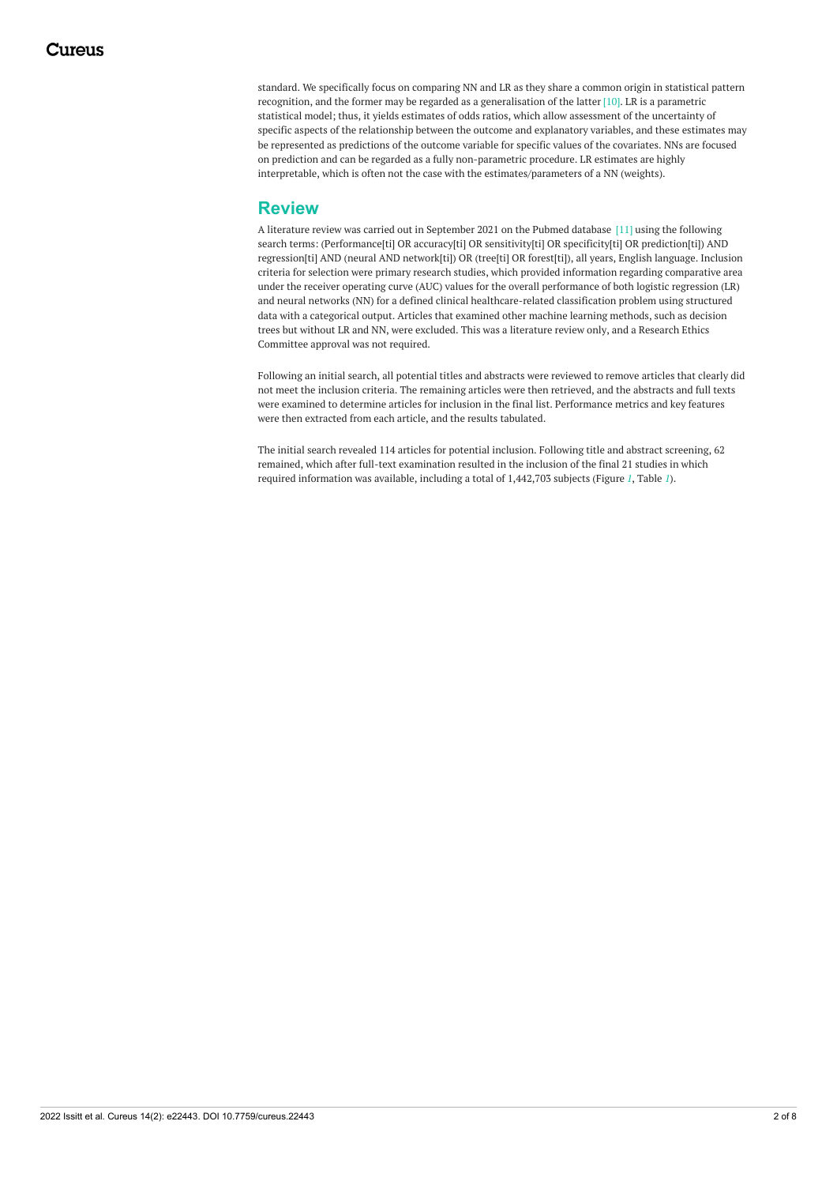standard. We specifically focus on comparing NN and LR as they share a common origin in statistical pattern recognition, and the former may be regarded as a generalisation of the latter [10]. LR is a parametric statistical model; thus, it yields estimates of odds ratios, which allow assessment of the uncertainty of specific aspects of the relationship between the outcome and explanatory variables, and these estimates may be represented as predictions of the outcome variable for specific values of the covariates. NNs are focused on prediction and can be regarded as a fully non-parametric procedure. LR estimates are highly interpretable, which is often not the case with the estimates/parameters of a NN (weights).

## **Review**

A literature review was carried out in September 2021 on the Pubmed database [11] using the following search terms: (Performance[ti] OR accuracy[ti] OR sensitivity[ti] OR specificity[ti] OR prediction[ti]) AND regression[ti] AND (neural AND network[ti]) OR (tree[ti] OR forest[ti]), all years, English language. Inclusion criteria for selection were primary research studies, which provided information regarding comparative area under the receiver operating curve (AUC) values for the overall performance of both logistic regression (LR) and neural networks (NN) for a defined clinical healthcare-related classification problem using structured data with a categorical output. Articles that examined other machine learning methods, such as decision trees but without LR and NN, were excluded. This was a literature review only, and a Research Ethics Committee approval was not required.

Following an initial search, all potential titles and abstracts were reviewed to remove articles that clearly did not meet the inclusion criteria. The remaining articles were then retrieved, and the abstracts and full texts were examined to determine articles for inclusion in the final list. Performance metrics and key features were then extracted from each article, and the results tabulated.

The initial search revealed 114 articles for potential inclusion. Following title and abstract screening, 62 remained, which after full-text examination resulted in the inclusion of the final 21 studies in which required information was available, including a total of 1,442,703 subjects (Figure *[1](#page-2-0)*, Table *[1](#page-3-0)*).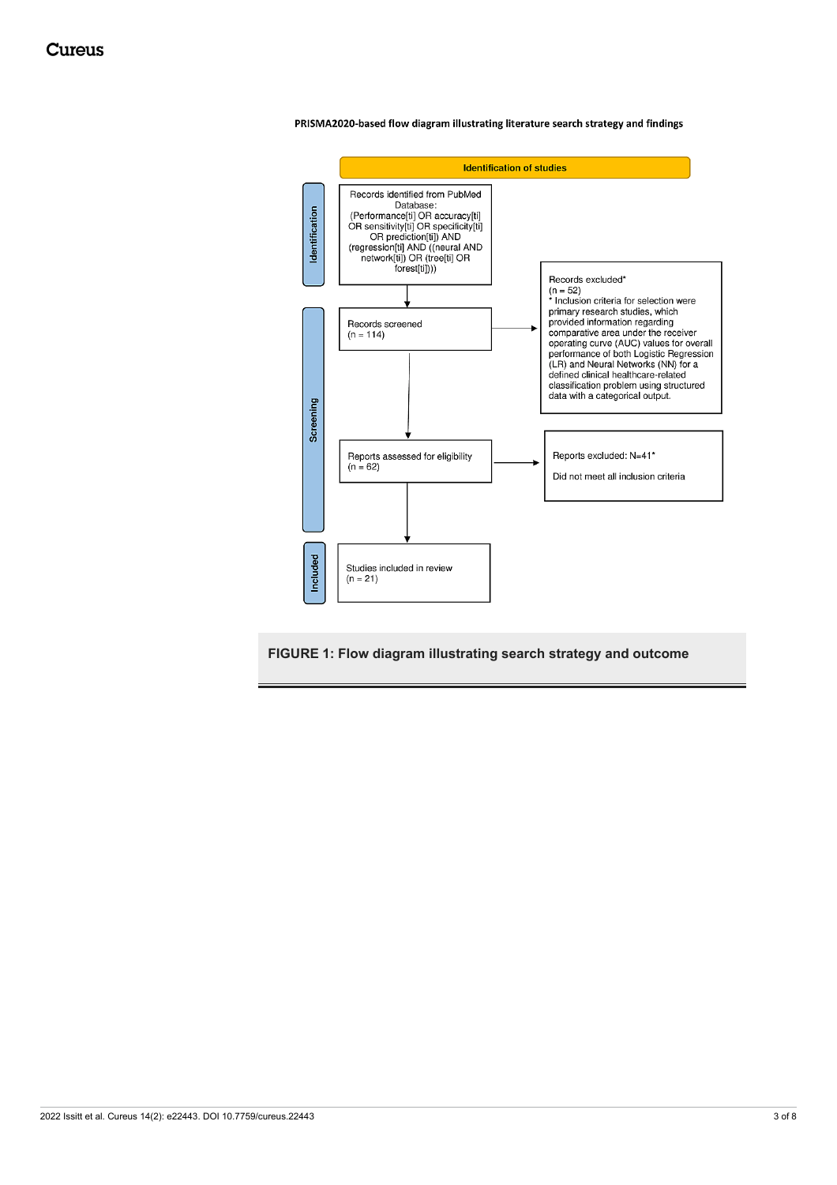

<span id="page-2-0"></span>PRISMA2020-based flow diagram illustrating literature search strategy and findings

**FIGURE 1: Flow diagram illustrating search strategy and outcome**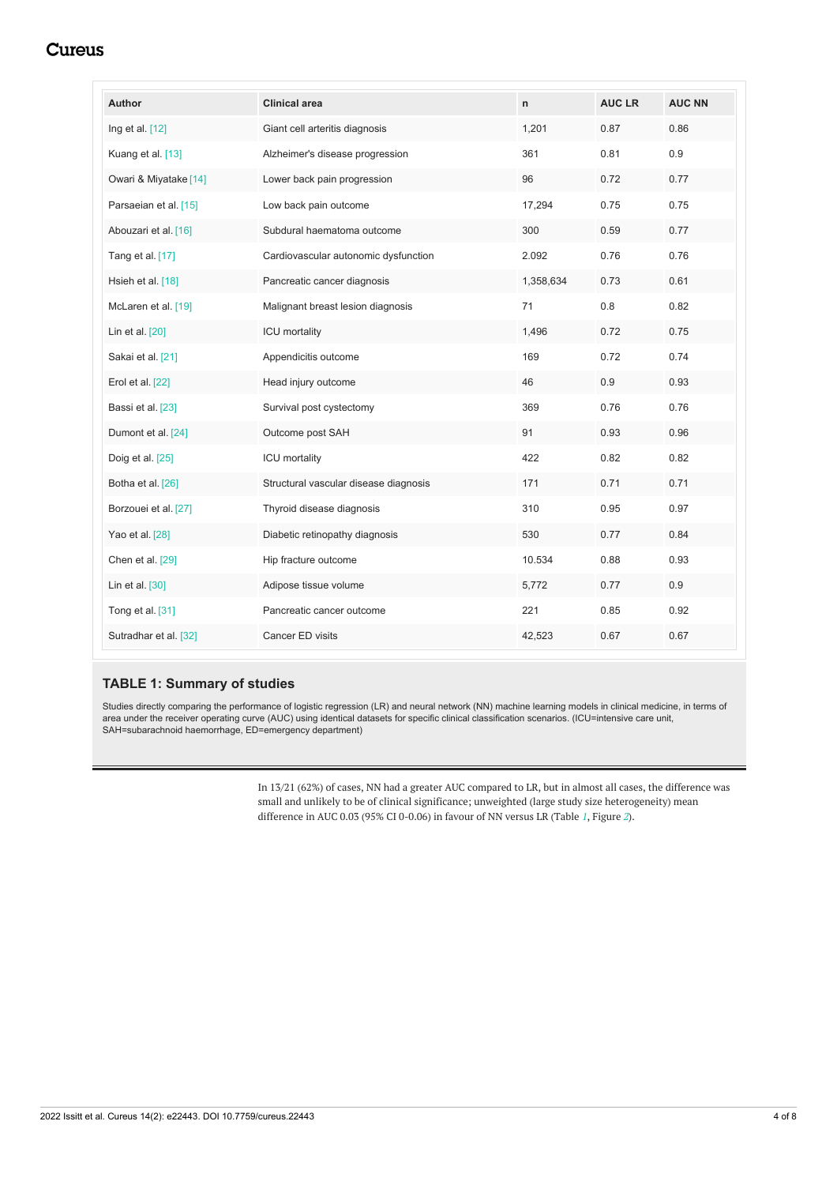## **Cureus**

<span id="page-3-0"></span>

| Author                | <b>Clinical area</b>                  | $\mathsf{n}$ | <b>AUC LR</b> | <b>AUC NN</b> |
|-----------------------|---------------------------------------|--------------|---------------|---------------|
| Ing et al. $[12]$     | Giant cell arteritis diagnosis        | 1,201        | 0.87          | 0.86          |
| Kuang et al. [13]     | Alzheimer's disease progression       | 361          | 0.81          | 0.9           |
| Owari & Miyatake [14] | Lower back pain progression           | 96           | 0.72          | 0.77          |
| Parsaeian et al. [15] | Low back pain outcome                 | 17,294       | 0.75          | 0.75          |
| Abouzari et al. [16]  | Subdural haematoma outcome            | 300          | 0.59          | 0.77          |
| Tang et al. [17]      | Cardiovascular autonomic dysfunction  | 2.092        | 0.76          | 0.76          |
| Hsieh et al. [18]     | Pancreatic cancer diagnosis           | 1,358,634    | 0.73          | 0.61          |
| McLaren et al. [19]   | Malignant breast lesion diagnosis     | 71           | 0.8           | 0.82          |
| Lin et al. [20]       | <b>ICU</b> mortality                  | 1,496        | 0.72          | 0.75          |
| Sakai et al. [21]     | Appendicitis outcome                  | 169          | 0.72          | 0.74          |
| Erol et al. $[22]$    | Head injury outcome                   | 46           | 0.9           | 0.93          |
| Bassi et al. [23]     | Survival post cystectomy              | 369          | 0.76          | 0.76          |
| Dumont et al. [24]    | Outcome post SAH                      | 91           | 0.93          | 0.96          |
| Doig et al. [25]      | <b>ICU</b> mortality                  | 422          | 0.82          | 0.82          |
| Botha et al. [26]     | Structural vascular disease diagnosis | 171          | 0.71          | 0.71          |
| Borzouei et al. [27]  | Thyroid disease diagnosis             | 310          | 0.95          | 0.97          |
| Yao et al. [28]       | Diabetic retinopathy diagnosis        | 530          | 0.77          | 0.84          |
| Chen et al. [29]      | Hip fracture outcome                  | 10.534       | 0.88          | 0.93          |
| Lin et al. $[30]$     | Adipose tissue volume                 | 5,772        | 0.77          | 0.9           |
| Tong et al. [31]      | Pancreatic cancer outcome             | 221          | 0.85          | 0.92          |
| Sutradhar et al. [32] | Cancer ED visits                      | 42,523       | 0.67          | 0.67          |

#### **TABLE 1: Summary of studies**

Studies directly comparing the performance of logistic regression (LR) and neural network (NN) machine learning models in clinical medicine, in terms of area under the receiver operating curve (AUC) using identical datasets for specific clinical classification scenarios. (ICU=intensive care unit, SAH=subarachnoid haemorrhage, ED=emergency department)

> In 13/21 (62%) of cases, NN had a greater AUC compared to LR, but in almost all cases, the difference was small and unlikely to be of clinical significance; unweighted (large study size heterogeneity) mean difference in AUC 0.03 (95% CI 0-0.06) in favour of NN versus LR (Table *[1](#page-3-0)*, Figure *[2](#page-4-0)*).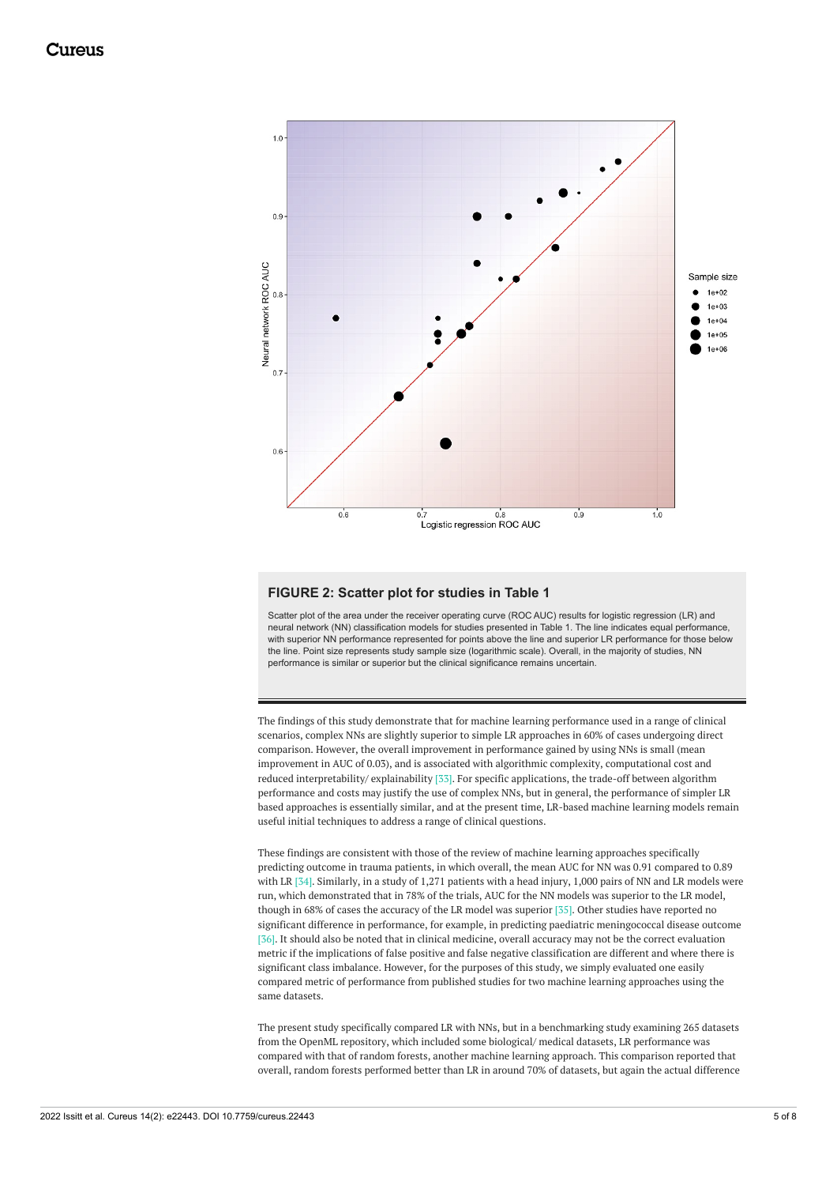<span id="page-4-0"></span>

#### **FIGURE 2: Scatter plot for studies in Table 1**

Scatter plot of the area under the receiver operating curve (ROC AUC) results for logistic regression (LR) and neural network (NN) classification models for studies presented in Table 1. The line indicates equal performance, with superior NN performance represented for points above the line and superior LR performance for those below the line. Point size represents study sample size (logarithmic scale). Overall, in the majority of studies, NN performance is similar or superior but the clinical significance remains uncertain.

The findings of this study demonstrate that for machine learning performance used in a range of clinical scenarios, complex NNs are slightly superior to simple LR approaches in 60% of cases undergoing direct comparison. However, the overall improvement in performance gained by using NNs is small (mean improvement in AUC of 0.03), and is associated with algorithmic complexity, computational cost and reduced interpretability/ explainability [33]. For specific applications, the trade-off between algorithm performance and costs may justify the use of complex NNs, but in general, the performance of simpler LR based approaches is essentially similar, and at the present time, LR-based machine learning models remain useful initial techniques to address a range of clinical questions.

These findings are consistent with those of the review of machine learning approaches specifically predicting outcome in trauma patients, in which overall, the mean AUC for NN was 0.91 compared to 0.89 with LR [34]. Similarly, in a study of 1,271 patients with a head injury, 1,000 pairs of NN and LR models were run, which demonstrated that in 78% of the trials, AUC for the NN models was superior to the LR model, though in 68% of cases the accuracy of the LR model was superior [35]. Other studies have reported no significant difference in performance, for example, in predicting paediatric meningococcal disease outcome [36]. It should also be noted that in clinical medicine, overall accuracy may not be the correct evaluation metric if the implications of false positive and false negative classification are different and where there is significant class imbalance. However, for the purposes of this study, we simply evaluated one easily compared metric of performance from published studies for two machine learning approaches using the same datasets.

The present study specifically compared LR with NNs, but in a benchmarking study examining 265 datasets from the OpenML repository, which included some biological/ medical datasets, LR performance was compared with that of random forests, another machine learning approach. This comparison reported that overall, random forests performed better than LR in around 70% of datasets, but again the actual difference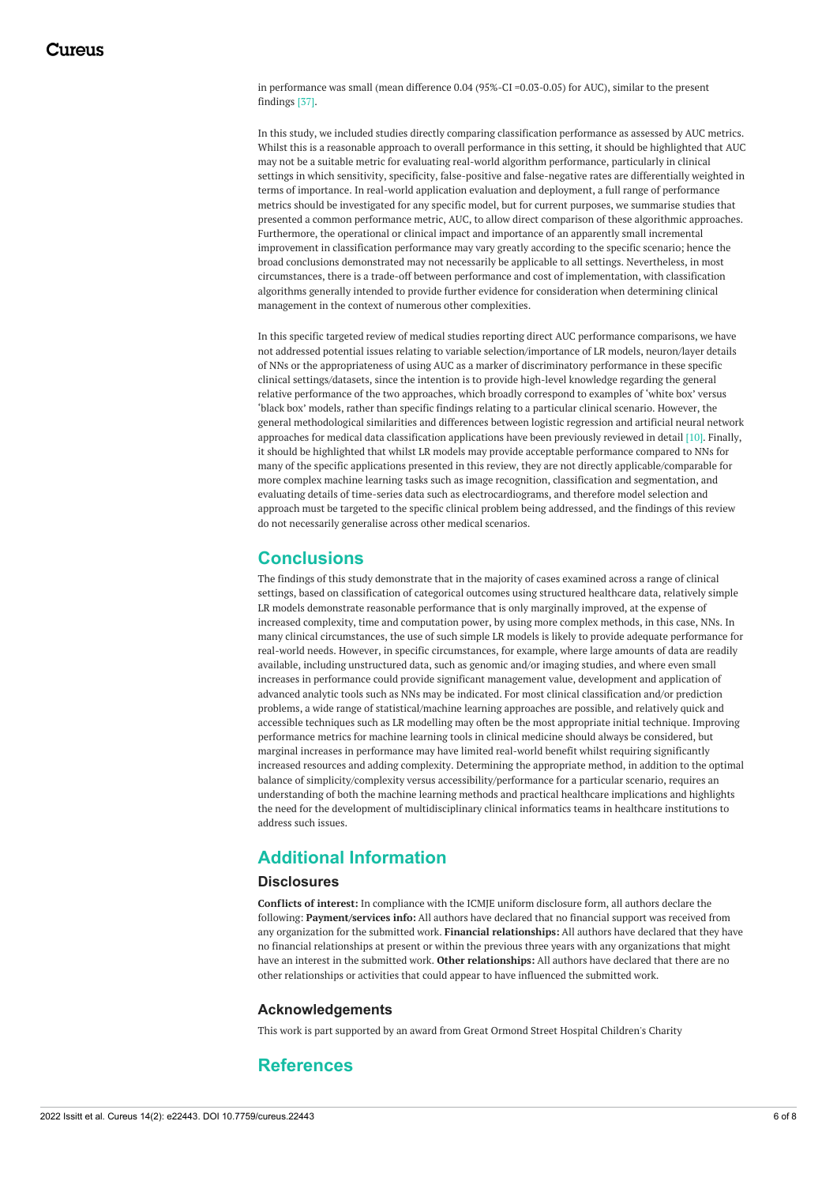in performance was small (mean difference 0.04 (95%-CI =0.03-0.05) for AUC), similar to the present findings [37].

In this study, we included studies directly comparing classification performance as assessed by AUC metrics. Whilst this is a reasonable approach to overall performance in this setting, it should be highlighted that AUC may not be a suitable metric for evaluating real-world algorithm performance, particularly in clinical settings in which sensitivity, specificity, false-positive and false-negative rates are differentially weighted in terms of importance. In real-world application evaluation and deployment, a full range of performance metrics should be investigated for any specific model, but for current purposes, we summarise studies that presented a common performance metric, AUC, to allow direct comparison of these algorithmic approaches. Furthermore, the operational or clinical impact and importance of an apparently small incremental improvement in classification performance may vary greatly according to the specific scenario; hence the broad conclusions demonstrated may not necessarily be applicable to all settings. Nevertheless, in most circumstances, there is a trade-off between performance and cost of implementation, with classification algorithms generally intended to provide further evidence for consideration when determining clinical management in the context of numerous other complexities.

In this specific targeted review of medical studies reporting direct AUC performance comparisons, we have not addressed potential issues relating to variable selection/importance of LR models, neuron/layer details of NNs or the appropriateness of using AUC as a marker of discriminatory performance in these specific clinical settings/datasets, since the intention is to provide high-level knowledge regarding the general relative performance of the two approaches, which broadly correspond to examples of 'white box' versus 'black box' models, rather than specific findings relating to a particular clinical scenario. However, the general methodological similarities and differences between logistic regression and artificial neural network approaches for medical data classification applications have been previously reviewed in detail [10]. Finally, it should be highlighted that whilst LR models may provide acceptable performance compared to NNs for many of the specific applications presented in this review, they are not directly applicable/comparable for more complex machine learning tasks such as image recognition, classification and segmentation, and evaluating details of time-series data such as electrocardiograms, and therefore model selection and approach must be targeted to the specific clinical problem being addressed, and the findings of this review do not necessarily generalise across other medical scenarios.

### **Conclusions**

The findings of this study demonstrate that in the majority of cases examined across a range of clinical settings, based on classification of categorical outcomes using structured healthcare data, relatively simple LR models demonstrate reasonable performance that is only marginally improved, at the expense of increased complexity, time and computation power, by using more complex methods, in this case, NNs. In many clinical circumstances, the use of such simple LR models is likely to provide adequate performance for real-world needs. However, in specific circumstances, for example, where large amounts of data are readily available, including unstructured data, such as genomic and/or imaging studies, and where even small increases in performance could provide significant management value, development and application of advanced analytic tools such as NNs may be indicated. For most clinical classification and/or prediction problems, a wide range of statistical/machine learning approaches are possible, and relatively quick and accessible techniques such as LR modelling may often be the most appropriate initial technique. Improving performance metrics for machine learning tools in clinical medicine should always be considered, but marginal increases in performance may have limited real-world benefit whilst requiring significantly increased resources and adding complexity. Determining the appropriate method, in addition to the optimal balance of simplicity/complexity versus accessibility/performance for a particular scenario, requires an understanding of both the machine learning methods and practical healthcare implications and highlights the need for the development of multidisciplinary clinical informatics teams in healthcare institutions to address such issues.

## **Additional Information**

#### **Disclosures**

**Conflicts of interest:** In compliance with the ICMJE uniform disclosure form, all authors declare the following: **Payment/services info:** All authors have declared that no financial support was received from any organization for the submitted work. **Financial relationships:** All authors have declared that they have no financial relationships at present or within the previous three years with any organizations that might have an interest in the submitted work. **Other relationships:** All authors have declared that there are no other relationships or activities that could appear to have influenced the submitted work.

#### **Acknowledgements**

This work is part supported by an award from Great Ormond Street Hospital Children's Charity

### **References**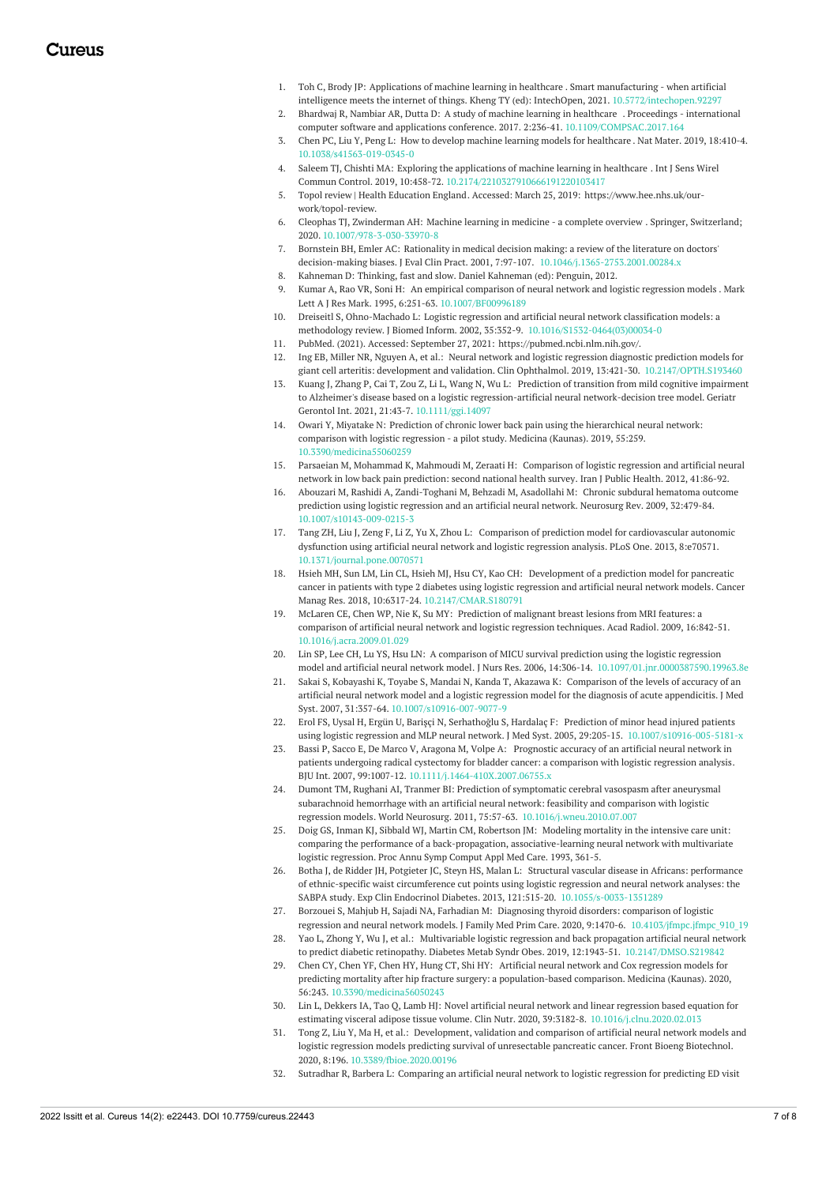- 1. Toh C, Brody JP: [Applications](https://dx.doi.org/10.5772/intechopen.92297) of machine learning in healthcare . Smart manufacturing when artificial intelligence meets the internet of things. Kheng TY (ed): IntechOpen, 2021. [10.5772/intechopen.92297](https://dx.doi.org/10.5772/intechopen.92297)
- 2. Bhardwaj R, Nambiar AR, Dutta D: A study of machine learning in [healthcare](https://dx.doi.org/10.1109/COMPSAC.2017.164) . Proceedings international computer software and applications conference. 2017. 2:236-41. [10.1109/COMPSAC.2017.164](https://dx.doi.org/10.1109/COMPSAC.2017.164)
- 3. Chen PC, Liu Y, Peng L: How to develop machine learning models for [healthcare](https://dx.doi.org/10.1038/s41563-019-0345-0) . Nat Mater. 2019, 18:410-4. [10.1038/s41563-019-0345-0](https://dx.doi.org/10.1038/s41563-019-0345-0)
- 4. Saleem TJ, Chishti MA: Exploring the [applications](https://dx.doi.org/10.2174/2210327910666191220103417) of machine learning in healthcare . Int J Sens Wirel Commun Control. 2019, 10:458-72. [10.2174/2210327910666191220103417](https://dx.doi.org/10.2174/2210327910666191220103417)
- 5. Topol review | Health [Education](https://www.hee.nhs.uk/our-work/topol-review) England. Accessed: March 25, 2019: [https://www.hee.nhs.uk/our](https://www.hee.nhs.uk/our-work/topol-review)work/topol-review.
- 6. Cleophas TJ, Zwinderman AH: Machine learning in medicine a [complete](https://dx.doi.org/10.1007/978-3-030-33970-8) overview . Springer, Switzerland; 2020. [10.1007/978-3-030-33970-8](https://dx.doi.org/10.1007/978-3-030-33970-8)
- 7. Bornstein BH, Emler AC: Rationality in medical decision making: a review of the literature on doctors' decision-making biases. J Eval Clin Pract. 2001, 7:97-107. [10.1046/j.1365-2753.2001.00284.x](https://dx.doi.org/10.1046/j.1365-2753.2001.00284.x)
- 8. Kahneman D: [Thinking,](https://scholar.google.com/scholar?q=intitle:Thinking%2C fast and slow) fast and slow. Daniel Kahneman (ed): Penguin, 2012.
- 9. Kumar A, Rao VR, Soni H: An empirical [comparison](https://dx.doi.org/10.1007/BF00996189) of neural network and logistic regression models . Mark Lett A J Res Mark. 1995, 6:251-63. [10.1007/BF00996189](https://dx.doi.org/10.1007/BF00996189)
- 10. Dreiseitl S, Ohno-Machado L: Logistic regression and artificial neural network classification models: a methodology review. J Biomed Inform. 2002, 35:352-9. [10.1016/S1532-0464\(03\)00034-0](https://dx.doi.org/10.1016/S1532-0464(03)00034-0)
- 11. [PubMed](https://pubmed.ncbi.nlm.nih.gov/). (2021). Accessed: September 27, 2021: <https://pubmed.ncbi.nlm.nih.gov/>.
- 12. Ing EB, Miller NR, Nguyen A, et al.: Neural network and logistic regression diagnostic prediction models for giant cell arteritis: development and validation. Clin Ophthalmol. 2019, 13:421-30. [10.2147/OPTH.S193460](https://dx.doi.org/10.2147/OPTH.S193460)
- 13. Kuang J, Zhang P, Cai T, Zou Z, Li L, Wang N, Wu L: Prediction of transition from mild cognitive impairment to Alzheimer's disease based on a logistic [regression-artificial](https://dx.doi.org/10.1111/ggi.14097) neural network-decision tree model. Geriatr Gerontol Int. 2021, 21:43-7. [10.1111/ggi.14097](https://dx.doi.org/10.1111/ggi.14097)
- 14. Owari Y, Miyatake N: Prediction of chronic lower back pain using the [hierarchical](https://dx.doi.org/10.3390/medicina55060259) neural network: comparison with logistic regression - a pilot study. Medicina (Kaunas). 2019, 55:259. [10.3390/medicina55060259](https://dx.doi.org/10.3390/medicina55060259)
- 15. Parsaeian M, Mohammad K, Mahmoudi M, Zeraati H: [Comparison](https://www.ncbi.nlm.nih.gov/pmc/articles/PMC3469002/) of logistic regression and artificial neural network in low back pain prediction: second national health survey. Iran J Public Health. 2012, 41:86-92.
- 16. Abouzari M, Rashidi A, [Zandi-Toghani](https://dx.doi.org/10.1007/s10143-009-0215-3) M, Behzadi M, Asadollahi M: Chronic subdural hematoma outcome prediction using logistic regression and an artificial neural network. Neurosurg Rev. 2009, 32:479-84. [10.1007/s10143-009-0215-3](https://dx.doi.org/10.1007/s10143-009-0215-3)
- 17. Tang ZH, Liu J, Zeng F, Li Z, Yu X, Zhou L: Comparison of prediction model for [cardiovascular](https://dx.doi.org/10.1371/journal.pone.0070571) autonomic dysfunction using artificial neural network and logistic regression analysis. PLoS One. 2013, 8:e70571. [10.1371/journal.pone.0070571](https://dx.doi.org/10.1371/journal.pone.0070571)
- 18. Hsieh MH, Sun LM, Lin CL, Hsieh MJ, Hsu CY, Kao CH: [Development](https://dx.doi.org/10.2147/CMAR.S180791) of a prediction model for pancreatic cancer in patients with type 2 diabetes using logistic regression and artificial neural network models. Cancer Manag Res. 2018, 10:6317-24. [10.2147/CMAR.S180791](https://dx.doi.org/10.2147/CMAR.S180791)
- 19. McLaren CE, Chen WP, Nie K, Su MY: Prediction of malignant breast lesions from MRI features: a [comparison](https://dx.doi.org/10.1016/j.acra.2009.01.029) of artificial neural network and logistic regression techniques. Acad Radiol. 2009, 16:842-51. [10.1016/j.acra.2009.01.029](https://dx.doi.org/10.1016/j.acra.2009.01.029)
- 20. Lin SP, Lee CH, Lu YS, Hsu LN: A comparison of MICU survival prediction using the logistic regression model and artificial neural network model. J Nurs Res. 2006, 14:306-14. [10.1097/01.jnr.0000387590.19963.8e](https://dx.doi.org/10.1097/01.jnr.0000387590.19963.8e)
- 21. Sakai S, Kobayashi K, Toyabe S, Mandai N, Kanda T, Akazawa K: Comparison of the levels of accuracy of an artificial neural network model and a logistic regression model for the diagnosis of acute [appendicitis.](https://dx.doi.org/10.1007/s10916-007-9077-9) J Med Syst. 2007, 31:357-64. [10.1007/s10916-007-9077-9](https://dx.doi.org/10.1007/s10916-007-9077-9)
- 22. Erol FS, Uysal H, Ergün U, Barişçi N, Serhathoğlu S, Hardalaç F: Prediction of minor head injured patients using logistic regression and MLP neural network. J Med Syst. 2005, 29:205-15. [10.1007/s10916-005-5181-x](https://dx.doi.org/10.1007/s10916-005-5181-x)
- 23. Bassi P, Sacco E, De Marco V, Aragona M, Volpe A: Prognostic accuracy of an artificial neural network in patients undergoing radical cystectomy for bladder cancer: a [comparison](https://dx.doi.org/10.1111/j.1464-410X.2007.06755.x) with logistic regression analysis. BJU Int. 2007, 99:1007-12. [10.1111/j.1464-410X.2007.06755.x](https://dx.doi.org/10.1111/j.1464-410X.2007.06755.x)
- 24. Dumont TM, Rughani AI, Tranmer BI: Prediction of symptomatic cerebral vasospasm after aneurysmal subarachnoid hemorrhage with an artificial neural network: feasibility and comparison with logistic regression models. World Neurosurg. 2011, 75:57-63. [10.1016/j.wneu.2010.07.007](https://dx.doi.org/10.1016/j.wneu.2010.07.007)
- 25. Doig GS, Inman KJ, Sibbald WJ, Martin CM, Robertson JM: Modeling mortality in the intensive care unit: comparing the performance of a back-propagation, [associative-learning](https://www.ncbi.nlm.nih.gov/pmc/articles/PMC2248532/) neural network with multivariate logistic regression. Proc Annu Symp Comput Appl Med Care. 1993, 361-5.
- 26. Botha J, de Ridder JH, Potgieter JC, Steyn HS, Malan L: Structural vascular disease in Africans: performance of ethnic-specific waist circumference cut points using logistic regression and neural network analyses: the SABPA study. Exp Clin Endocrinol Diabetes. 2013, 121:515-20. [10.1055/s-0033-1351289](https://dx.doi.org/10.1055/s-0033-1351289)
- 27. Borzouei S, Mahjub H, Sajadi NA, Farhadian M: Diagnosing thyroid disorders: comparison of logistic regression and neural network models. J Family Med Prim Care. 2020, 9:1470-6. 10.4103/jfmpc.jfmpc 910 19
- 28. Yao L, Zhong Y, Wu J, et al.: Multivariable logistic regression and back propagation artificial neural network to predict diabetic retinopathy. Diabetes Metab Syndr Obes. 2019, 12:1943-51. [10.2147/DMSO.S219842](https://dx.doi.org/10.2147/DMSO.S219842)
- 29. Chen CY, Chen YF, Chen HY, Hung CT, Shi HY: Artificial neural network and Cox regression models for predicting mortality after hip fracture surgery: a [population-based](https://dx.doi.org/10.3390/medicina56050243) comparison. Medicina (Kaunas). 2020, 56:243. [10.3390/medicina56050243](https://dx.doi.org/10.3390/medicina56050243)
- 30. Lin L, Dekkers IA, Tao Q, Lamb HJ: Novel artificial neural network and linear regression based equation for estimating visceral adipose tissue volume. Clin Nutr. 2020, 39:3182-8. [10.1016/j.clnu.2020.02.013](https://dx.doi.org/10.1016/j.clnu.2020.02.013)
- 31. Tong Z, Liu Y, Ma H, et al.: [Development,](https://dx.doi.org/10.3389/fbioe.2020.00196) validation and comparison of artificial neural network models and logistic regression models predicting survival of unresectable pancreatic cancer. Front Bioeng Biotechnol. 2020, 8:196. [10.3389/fbioe.2020.00196](https://dx.doi.org/10.3389/fbioe.2020.00196)
- 32. Sutradhar R, Barbera L: [Comparing](https://dx.doi.org/10.1016/j.jpainsymman.2020.02.010) an artificial neural network to logistic regression for predicting ED visit